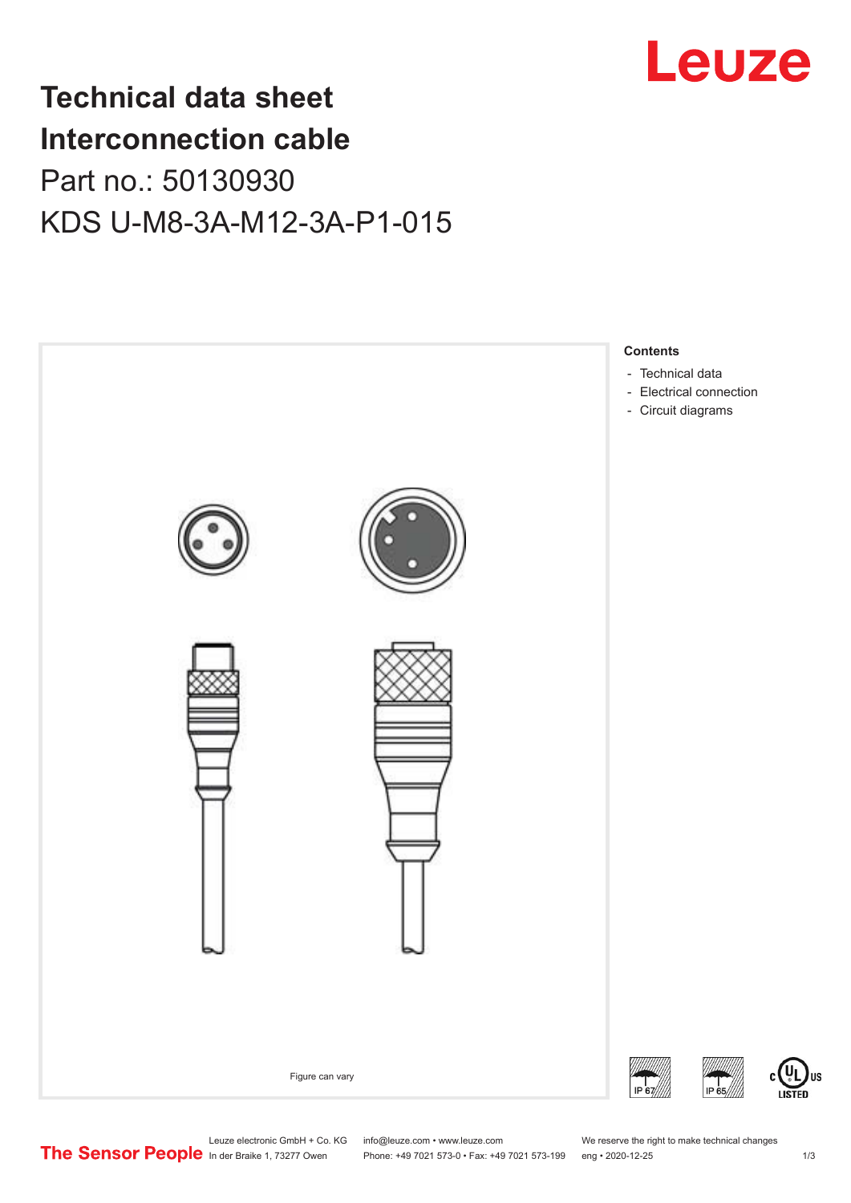

## **Technical data sheet Interconnection cable** Part no.: 50130930 KDS U-M8-3A-M12-3A-P1-015



Leuze electronic GmbH + Co. KG info@leuze.com • www.leuze.com We reserve the right to make technical changes<br>
The Sensor People in der Braike 1, 73277 Owen Phone: +49 7021 573-0 • Fax: +49 7021 573-199 eng • 2020-12-25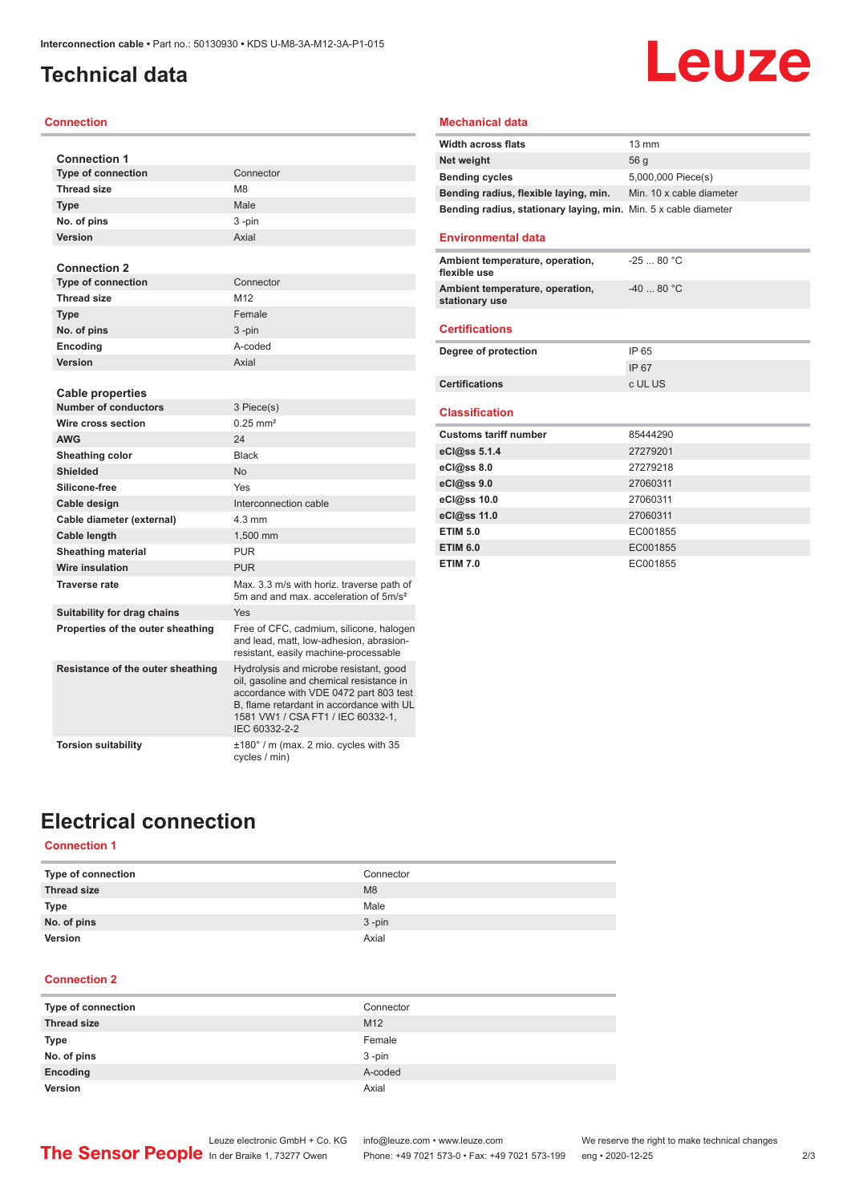### <span id="page-1-0"></span>**Technical data**

### **Connection**

| <b>Connection 1</b>               |                                                                                                                                                                                                                                |
|-----------------------------------|--------------------------------------------------------------------------------------------------------------------------------------------------------------------------------------------------------------------------------|
| <b>Type of connection</b>         | Connector                                                                                                                                                                                                                      |
| <b>Thread size</b>                | M <sub>8</sub>                                                                                                                                                                                                                 |
| <b>Type</b>                       | Male                                                                                                                                                                                                                           |
| No. of pins                       | 3-pin                                                                                                                                                                                                                          |
| Version                           | Axial                                                                                                                                                                                                                          |
|                                   |                                                                                                                                                                                                                                |
| <b>Connection 2</b>               |                                                                                                                                                                                                                                |
| <b>Type of connection</b>         | Connector                                                                                                                                                                                                                      |
| <b>Thread size</b>                | M12                                                                                                                                                                                                                            |
| <b>Type</b>                       | Female                                                                                                                                                                                                                         |
| No. of pins                       | 3-pin                                                                                                                                                                                                                          |
| Encoding                          | A-coded                                                                                                                                                                                                                        |
| Version                           | Axial                                                                                                                                                                                                                          |
|                                   |                                                                                                                                                                                                                                |
| <b>Cable properties</b>           |                                                                                                                                                                                                                                |
| <b>Number of conductors</b>       | 3 Piece(s)                                                                                                                                                                                                                     |
| Wire cross section                | $0.25$ mm <sup>2</sup>                                                                                                                                                                                                         |
| <b>AWG</b>                        | 24                                                                                                                                                                                                                             |
| Sheathing color                   | <b>Black</b>                                                                                                                                                                                                                   |
| <b>Shielded</b>                   | <b>No</b>                                                                                                                                                                                                                      |
| Silicone-free                     | Yes                                                                                                                                                                                                                            |
| Cable design                      | Interconnection cable                                                                                                                                                                                                          |
| Cable diameter (external)         | 4 3 mm                                                                                                                                                                                                                         |
| Cable length                      | 1.500 mm                                                                                                                                                                                                                       |
| <b>Sheathing material</b>         | <b>PUR</b>                                                                                                                                                                                                                     |
| Wire insulation                   | <b>PUR</b>                                                                                                                                                                                                                     |
| <b>Traverse rate</b>              | Max. 3.3 m/s with horiz. traverse path of<br>5m and and max, acceleration of 5m/s <sup>2</sup>                                                                                                                                 |
| Suitability for drag chains       | Yes                                                                                                                                                                                                                            |
| Properties of the outer sheathing | Free of CFC, cadmium, silicone, halogen<br>and lead, matt, low-adhesion, abrasion-<br>resistant, easily machine-processable                                                                                                    |
| Resistance of the outer sheathing | Hydrolysis and microbe resistant, good<br>oil, gasoline and chemical resistance in<br>accordance with VDE 0472 part 803 test<br>B, flame retardant in accordance with UL<br>1581 VW1 / CSA FT1 / IEC 60332-1,<br>IEC 60332-2-2 |
| <b>Torsion suitability</b>        | ±180° / m (max. 2 mio. cycles with 35<br>cycles / min)                                                                                                                                                                         |

### **Mechanical data**

| <b>Width across flats</b>                                       | $13 \text{ mm}$          |
|-----------------------------------------------------------------|--------------------------|
| Net weight                                                      | 56 <sub>a</sub>          |
| <b>Bending cycles</b>                                           | 5,000,000 Piece(s)       |
| Bending radius, flexible laying, min.                           | Min. 10 x cable diameter |
| Bending radius, stationary laying, min. Min. 5 x cable diameter |                          |

**Leuze** 

#### **Environmental data**

| Ambient temperature, operation,<br>flexible use   | $-2580 °C$ |
|---------------------------------------------------|------------|
| Ambient temperature, operation,<br>stationary use | $-4080 °C$ |
|                                                   |            |

### **Certifications**

| Degree of protection  | IP 65   |
|-----------------------|---------|
|                       | IP 67   |
| <b>Certifications</b> | c UL US |

#### **Classification**

| <b>Customs tariff number</b> | 85444290 |
|------------------------------|----------|
| eCl@ss 5.1.4                 | 27279201 |
| $eC/\omega$ ss 8.0           | 27279218 |
| eCl@ss 9.0                   | 27060311 |
| eCl@ss 10.0                  | 27060311 |
| eCl@ss 11.0                  | 27060311 |
| <b>ETIM 5.0</b>              | EC001855 |
| <b>ETIM 6.0</b>              | EC001855 |
| <b>ETIM 7.0</b>              | EC001855 |

### **Electrical connection**

### **Connection 1**

| Type of connection | Connector |
|--------------------|-----------|
| <b>Thread size</b> | M8        |
| <b>Type</b>        | Male      |
| No. of pins        | $3 - pin$ |
| Version            | Axial     |

### **Connection 2**

| Type of connection | Connector       |
|--------------------|-----------------|
| <b>Thread size</b> | M <sub>12</sub> |
| <b>Type</b>        | Female          |
| No. of pins        | $3 - pin$       |
| Encoding           | A-coded         |
| Version            | Axial           |